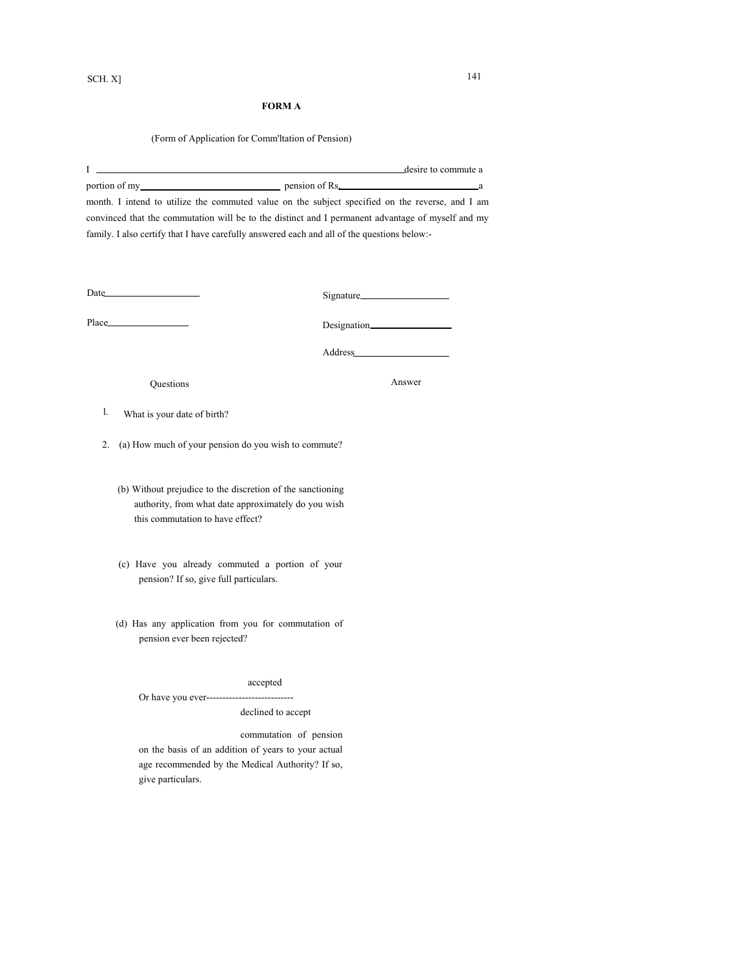(Form of Application for Comm'ltation of Pension)

| The contract of the contract of the contract of the contract of the contract of the contract of the contract of |                  | desire to commute a |
|-----------------------------------------------------------------------------------------------------------------|------------------|---------------------|
| portion of my                                                                                                   | pension of Rs. a |                     |
| month. I intend to utilize the commuted value on the subject specified on the reverse, and I am                 |                  |                     |
| convinced that the commutation will be to the distinct and I permanent advantage of myself and my               |                  |                     |

family. I also certify that I have carefully answered each and all of the questions below:-

| Date  | Signature    |
|-------|--------------|
| Place | Designation_ |

Address

Questions Answer

- l. What is your date of birth?
- 2. (a) How much of your pension do you wish to commute?
	- (b) Without prejudice to the discretion of the sanctioning authority, from what date approximately do you wish this commutation to have effect?
	- (c) Have you already commuted a portion of your pension? If so, give full particulars.
	- (d) Has any application from you for commutation of pension ever been rejected?

accepted

Or have you ever---------------------------

declined to accept

commutation of pension

on the basis of an addition of years to your actual age recommended by the Medical Authority? If so, give particulars.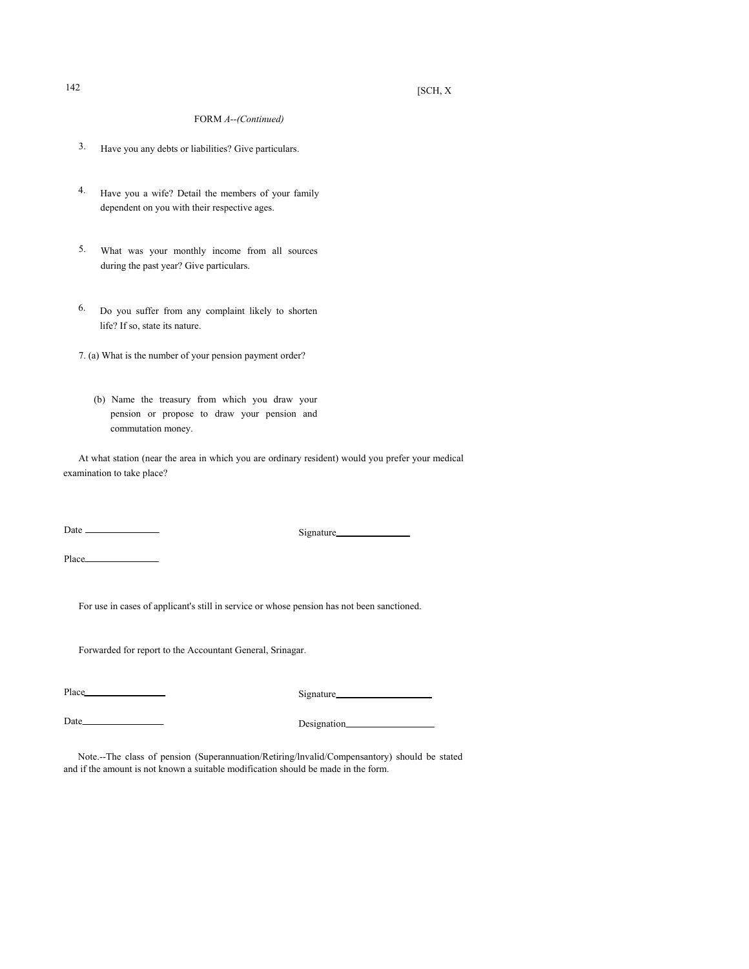## $142$  [SCH, X

### FORM *A--(Continued)*

- 3. Have you any debts or liabilities? Give particulars.
- 4. Have you a wife? Detail the members of your family dependent on you with their respective ages.
- 5. What was your monthly income from all sources during the past year? Give particulars.
- 6. Do you suffer from any complaint likely to shorten life? If so, state its nature.
- 7. (a) What is the number of your pension payment order?
	- (b) Name the treasury from which you draw your pension or propose to draw your pension and commutation money.

At what station (near the area in which you are ordinary resident) would you prefer your medical examination to take place?

Date Signature

Place

For use in cases of applicant's still in service or whose pension has not been sanctioned.

Forwarded for report to the Accountant General, Srinagar.

Place Signature Signature

Date Designation

Note.--The class of pension (Superannuation/Retiring/lnvalid/Compensantory) should be stated and if the amount is not known a suitable modification should be made in the form.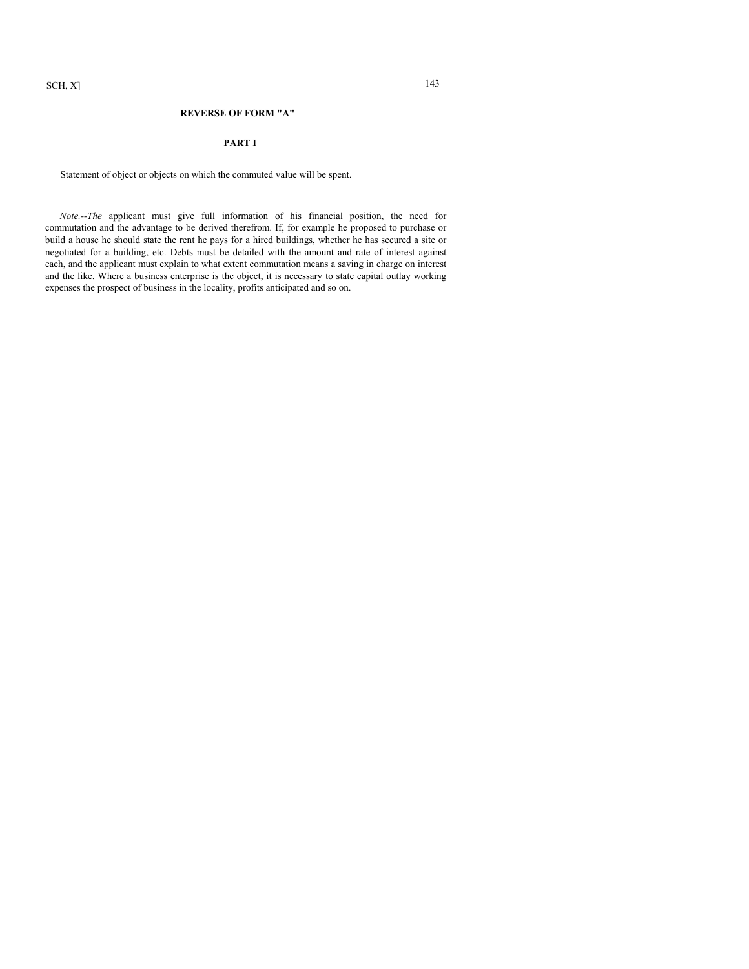#### **REVERSE OF FORM "A"**

#### **PART I**

Statement of object or objects on which the commuted value will be spent.

*Note.--The* applicant must give full information of his financial position, the need for commutation and the advantage to be derived therefrom. If, for example he proposed to purchase or build a house he should state the rent he pays for a hired buildings, whether he has secured a site or negotiated for a building, etc. Debts must be detailed with the amount and rate of interest against each, and the applicant must explain to what extent commutation means a saving in charge on interest and the like. Where a business enterprise is the object, it is necessary to state capital outlay working expenses the prospect of business in the locality, profits anticipated and so on.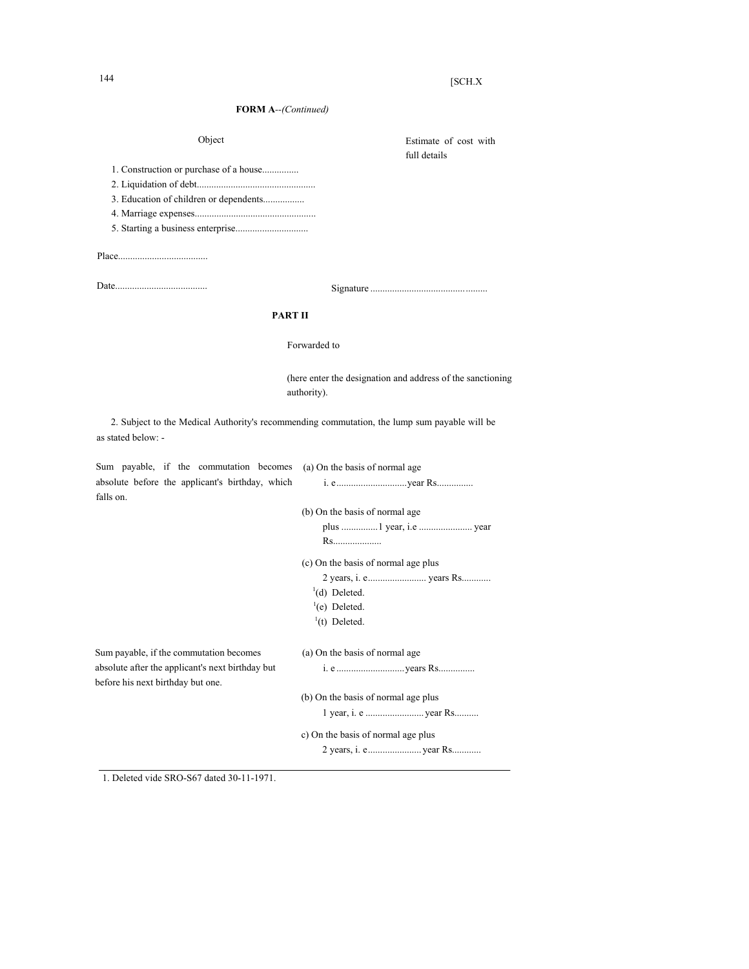| [SCH.X |
|--------|
|        |

| <b>FORM A--</b> (Continued)                                                           |                                                                                              |  |
|---------------------------------------------------------------------------------------|----------------------------------------------------------------------------------------------|--|
| Object                                                                                | Estimate of cost with<br>full details                                                        |  |
|                                                                                       |                                                                                              |  |
|                                                                                       |                                                                                              |  |
| 3. Education of children or dependents                                                |                                                                                              |  |
|                                                                                       |                                                                                              |  |
|                                                                                       |                                                                                              |  |
|                                                                                       |                                                                                              |  |
|                                                                                       |                                                                                              |  |
| PART II                                                                               |                                                                                              |  |
|                                                                                       | Forwarded to                                                                                 |  |
|                                                                                       | (here enter the designation and address of the sanctioning<br>authority).                    |  |
| as stated below: -                                                                    | 2. Subject to the Medical Authority's recommending commutation, the lump sum payable will be |  |
| Sum payable, if the commutation becomes                                               | (a) On the basis of normal age                                                               |  |
| absolute before the applicant's birthday, which<br>falls on.                          |                                                                                              |  |
|                                                                                       | (b) On the basis of normal age                                                               |  |
|                                                                                       |                                                                                              |  |
|                                                                                       | Rs                                                                                           |  |
|                                                                                       | (c) On the basis of normal age plus                                                          |  |
|                                                                                       |                                                                                              |  |
|                                                                                       | $1(d)$ Deleted.                                                                              |  |
|                                                                                       | $^{1}$ (e) Deleted.                                                                          |  |
|                                                                                       | $(t)$ Deleted.                                                                               |  |
| Sum payable, if the commutation becomes                                               | (a) On the basis of normal age                                                               |  |
| absolute after the applicant's next birthday but<br>before his next birthday but one. |                                                                                              |  |
|                                                                                       | (b) On the basis of normal age plus                                                          |  |
|                                                                                       |                                                                                              |  |
|                                                                                       | c) On the basis of normal age plus                                                           |  |
|                                                                                       |                                                                                              |  |

1. Deleted vide SRO-S67 dated 30-11-1971.